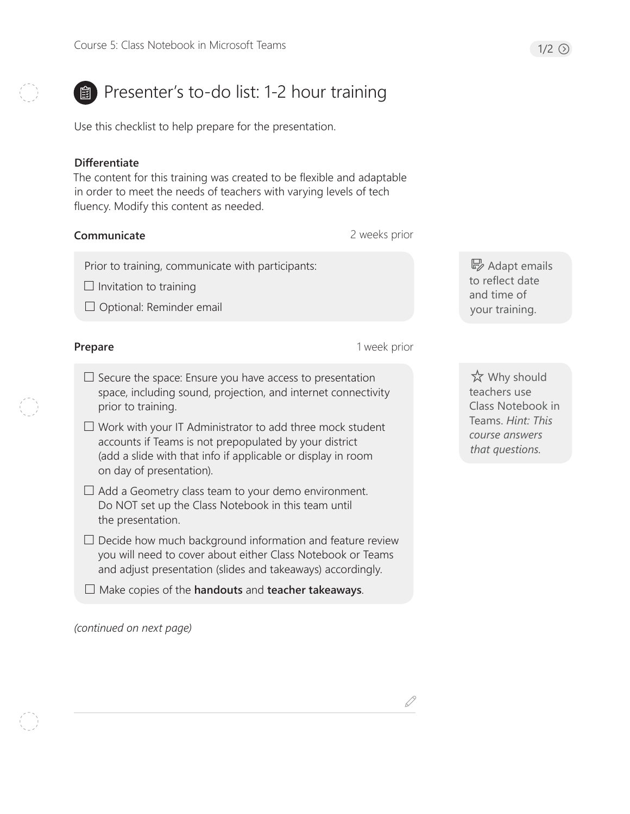# **B** Presenter's to-do list: 1-2 hour training

Use this checklist to help prepare for the presentation.

### **Differentiate**

The content for this training was created to be flexible and adaptable in order to meet the needs of teachers with varying levels of tech fluency. Modify this content as needed.

# **Communicate**

2 weeks prior

Prior to training, communicate with participants:

 $\Box$  Invitation to training

 $\Box$  Optional: Reminder email

### **Prepare**

1 week prior

- $\square$  Secure the space: Ensure you have access to presentation space, including sound, projection, and internet connectivity prior to training.
- $\Box$  Work with your IT Administrator to add three mock student accounts if Teams is not prepopulated by your district (add a slide with that info if applicable or display in room on day of presentation).
- $\Box$  Add a Geometry class team to your demo environment. Do NOT set up the Class Notebook in this team until the presentation.
- $\Box$  Decide how much background information and feature review you will need to cover about either Class Notebook or Teams and adjust presentation (slides and takeaways) accordingly.

Make copies of the **handouts** and **teacher takeaways**.

*(continued on next page)*

B Adapt emails to reflect date and time of your training.

 Why should teachers use Class Notebook in Teams. *Hint: This course answers that questions.*